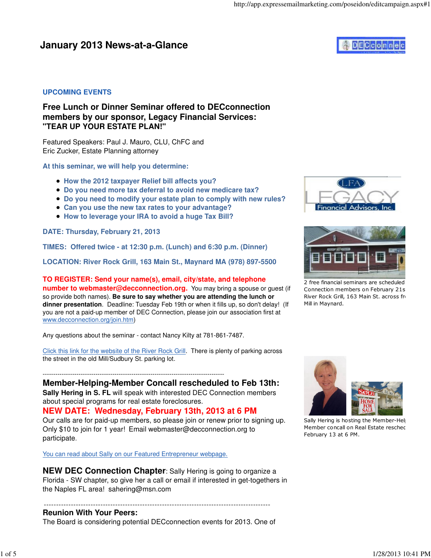## **January 2013 News-at-a-Glance**

# **DECconne**

#### **UPCOMING EVENTS**

#### **Free Lunch or Dinner Seminar offered to DECconnection members by our sponsor, Legacy Financial Services: "TEAR UP YOUR ESTATE PLAN!"**

Featured Speakers: Paul J. Mauro, CLU, ChFC and Eric Zucker, Estate Planning attorney

**At this seminar, we will help you determine:**

- **How the 2012 taxpayer Relief bill affects you?**
- **Do you need more tax deferral to avoid new medicare tax?**
- **Do you need to modify your estate plan to comply with new rules?**
- **Can you use the new tax rates to your advantage?**
- **How to leverage your IRA to avoid a huge Tax Bill?**

**DATE: Thursday, February 21, 2013**

**TIMES: Offered twice - at 12:30 p.m. (Lunch) and 6:30 p.m. (Dinner)**

**LOCATION: River Rock Grill, 163 Main St., Maynard MA (978) 897-5500**

**TO REGISTER: Send your name(s), email, city/state, and telephone**

**number to webmaster@decconnection.org.** You may bring a spouse or quest (if so provide both names). **Be sure to say whether you are attending the lunch or dinner presentation**. Deadline: Tuesday Feb 19th or when it fills up, so don't delay! (If you are not a paid-up member of DEC Connection, please join our association first at www.decconnection.org/join.htm)

Any questions about the seminar - contact Nancy Kilty at 781-861-7487.

Click this link for the website of the River Rock Grill. There is plenty of parking across the street in the old Mill/Sudbury St. parking lot.

--------------------------------------------------------------------------------------

**Member-Helping-Member Concall rescheduled to Feb 13th: Sally Hering in S. FL** will speak with interested DEC Connection members about special programs for real estate foreclosures.

**NEW DATE: Wednesday, February 13th, 2013 at 6 PM**

Our calls are for paid-up members, so please join or renew prior to signing up. Only \$10 to join for 1 year! Email webmaster@decconnection.org to participate.

You can read about Sally on our Featured Entrepreneur webpage.

**NEW DEC Connection Chapter:** Sally Hering is going to organize a Florida - SW chapter, so give her a call or email if interested in get-togethers in the Naples FL area! sahering@msn.com

-------------------------------------------------------------------------------------------- **Reunion With Your Peers:**

The Board is considering potential DECconnection events for 2013. One of





2 free financial seminars are scheduled Connection members on February 21s River Rock Grill, 163 Main St. across from Mill in Maynard.



Sally Hering is hosting the Member-Help Member concall on Real Estate resched February 13 at 6 PM.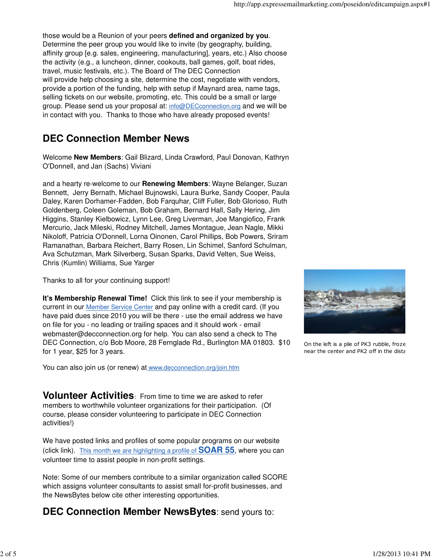those would be a Reunion of your peers **defined and organized by you**. Determine the peer group you would like to invite (by geography, building, affinity group [e.g. sales, engineering, manufacturing], years, etc.) Also choose the activity (e.g., a luncheon, dinner, cookouts, ball games, golf, boat rides, travel, music festivals, etc.). The Board of The DEC Connection will provide help choosing a site, determine the cost, negotiate with vendors, provide a portion of the funding, help with setup if Maynard area, name tags, selling tickets on our website, promoting, etc. This could be a small or large group. Please send us your proposal at: info@DECconnection.org and we will be in contact with you. Thanks to those who have already proposed events!

# **DEC Connection Member News**

Welcome **New Members**: Gail Blizard, Linda Crawford, Paul Donovan, Kathryn O'Donnell, and Jan (Sachs) Viviani

and a hearty re-welcome to our **Renewing Members**: Wayne Belanger, Suzan Bennett, Jerry Bernath, Michael Bujnowski, Laura Burke, Sandy Cooper, Paula Daley, Karen Dorhamer-Fadden, Bob Farquhar, Cliff Fuller, Bob Glorioso, Ruth Goldenberg, Coleen Goleman, Bob Graham, Bernard Hall, Sally Hering, Jim Higgins, Stanley Kielbowicz, Lynn Lee, Greg Liverman, Joe Mangiofico, Frank Mercurio, Jack Mileski, Rodney Mitchell, James Montague, Jean Nagle, Mikki Nikoloff, Patricia O'Donnell, Lorna Oinonen, Carol Phillips, Bob Powers, Sriram Ramanathan, Barbara Reichert, Barry Rosen, Lin Schimel, Sanford Schulman, Ava Schutzman, Mark Silverberg, Susan Sparks, David Velten, Sue Weiss, Chris (Kumlin) Williams, Sue Yarger

Thanks to all for your continuing support!

**It's Membership Renewal Time!** Click this link to see if your membership is current in our Member Service Center and pay online with a credit card. (If you have paid dues since 2010 you will be there - use the email address we have on file for you - no leading or trailing spaces and it should work - email webmaster@decconnection.org for help. You can also send a check to The DEC Connection, c/o Bob Moore, 28 Fernglade Rd., Burlington MA 01803. \$10 for 1 year, \$25 for 3 years.

You can also join us (or renew) at www.decconnection.org/join.htm

**Volunteer Activities**: From time to time we are asked to refer members to worthwhile volunteer organizations for their participation. (Of course, please consider volunteering to participate in DEC Connection activities!)

We have posted links and profiles of some popular programs on our website (click link). This month we are highlighting a profile of **SOAR 55**, where you can volunteer time to assist people in non-profit settings.

Note: Some of our members contribute to a similar organization called SCORE which assigns volunteer consultants to assist small for-profit businesses, and the NewsBytes below cite other interesting opportunities.

**DEC Connection Member NewsBytes**: send yours to:



On the left is a pile of PK3 rubble, froze near the center and PK2 off in the dista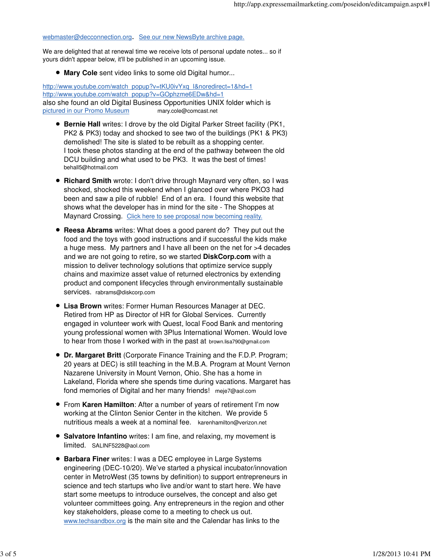webmaster@decconnection.org. See our new NewsByte archive page.

We are delighted that at renewal time we receive lots of personal update notes... so if yours didn't appear below, it'll be published in an upcoming issue.

**Mary Cole** sent video links to some old Digital humor...

http://www.youtube.com/watch\_popup?v=tKU0ivYxq\_I&noredirect=1&hd=1 http://www.youtube.com/watch\_popup?v=GOphzme6EDw&hd=1 also she found an old Digital Business Opportunities UNIX folder which is pictured in our Promo Museum mary.cole@comcast.net

- **Bernie Hall** writes: I drove by the old Digital Parker Street facility (PK1, PK2 & PK3) today and shocked to see two of the buildings (PK1 & PK3) demolished! The site is slated to be rebuilt as a shopping center. I took these photos standing at the end of the pathway between the old DCU building and what used to be PK3. It was the best of times! behall5@hotmail.com
- **Richard Smith** wrote: I don't drive through Maynard very often, so I was shocked, shocked this weekend when I glanced over where PKO3 had been and saw a pile of rubble! End of an era. I found this website that shows what the developer has in mind for the site - The Shoppes at Maynard Crossing. Click here to see proposal now becoming reality.
- **Reesa Abrams** writes: What does a good parent do? They put out the food and the toys with good instructions and if successful the kids make a huge mess. My partners and I have all been on the net for >4 decades and we are not going to retire, so we started **DiskCorp.com** with a mission to deliver technology solutions that optimize service supply chains and maximize asset value of returned electronics by extending product and component lifecycles through environmentally sustainable services. rabrams@diskcorp.com
- **Lisa Brown** writes: Former Human Resources Manager at DEC. Retired from HP as Director of HR for Global Services. Currently engaged in volunteer work with Quest, local Food Bank and mentoring young professional women with 3Plus International Women. Would love to hear from those I worked with in the past at brown.lisa790@gmail.com
- **Dr. Margaret Britt** (Corporate Finance Training and the F.D.P. Program; 20 years at DEC) is still teaching in the M.B.A. Program at Mount Vernon Nazarene University in Mount Vernon, Ohio. She has a home in Lakeland, Florida where she spends time during vacations. Margaret has fond memories of Digital and her many friends! meje7@aol.com
- From **Karen Hamilton**: After a number of years of retirement I'm now working at the Clinton Senior Center in the kitchen. We provide 5 nutritious meals a week at a nominal fee. karenhamilton@verizon.net
- **Salvatore Infantino** writes: I am fine, and relaxing, my movement is limited. SALINF5228@aol.com
- **Barbara Finer** writes: I was a DEC employee in Large Systems engineering (DEC-10/20). We've started a physical incubator/innovation center in MetroWest (35 towns by definition) to support entrepreneurs in science and tech startups who live and/or want to start here. We have start some meetups to introduce ourselves, the concept and also get volunteer committees going. Any entrepreneurs in the region and other key stakeholders, please come to a meeting to check us out. www.techsandbox.org is the main site and the Calendar has links to the